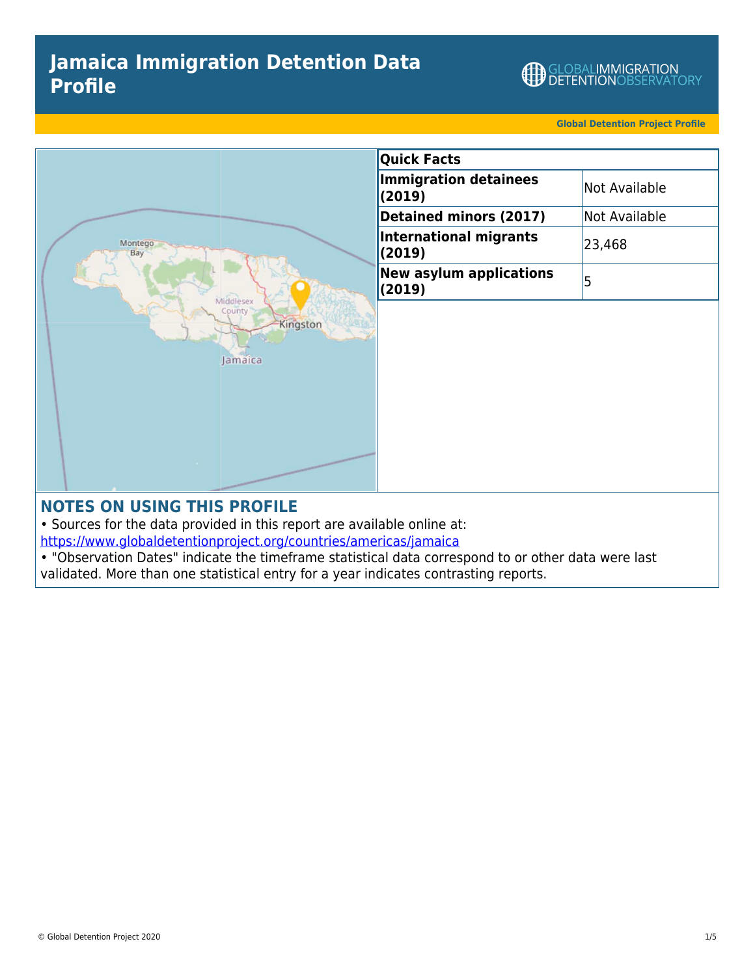# **Jamaica Immigration Detention Data Profile**

GLOBALIMMIGRATION<br>DETENTIONOBSERVATORY

**Global Detention Project Profile**



## **NOTES ON USING THIS PROFILE**

• Sources for the data provided in this report are available online at:

<https://www.globaldetentionproject.org/countries/americas/jamaica>

• "Observation Dates" indicate the timeframe statistical data correspond to or other data were last validated. More than one statistical entry for a year indicates contrasting reports.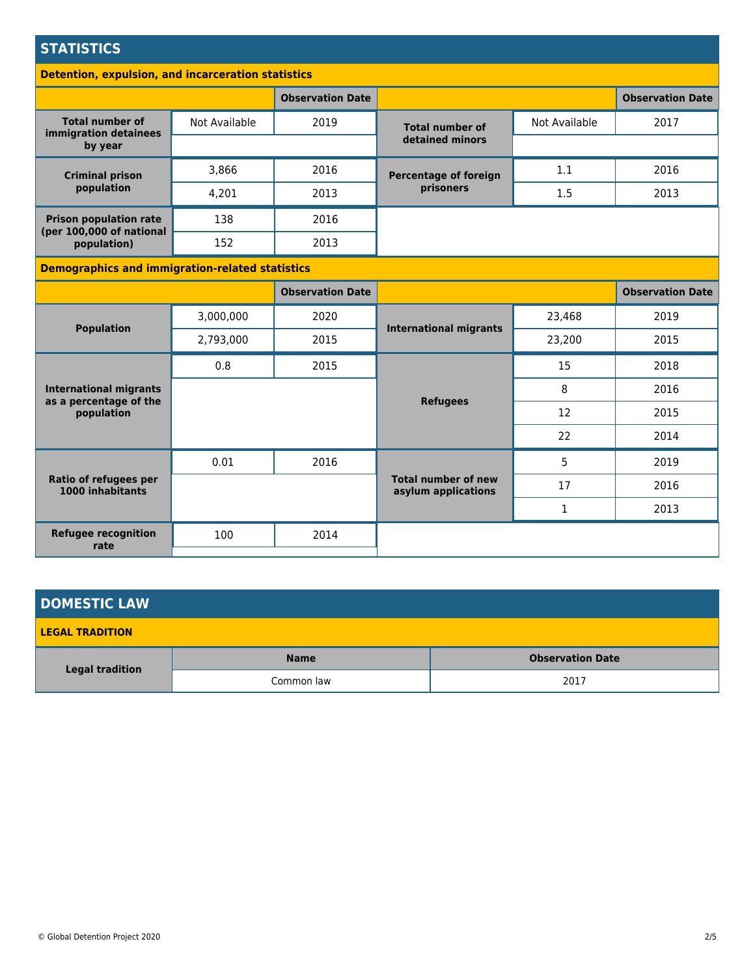## **STATISTICS**

#### **Detention, expulsion, and incarceration statistics**

|                                                            |               | <b>Observation Date</b> |                                           |               | <b>Observation Date</b> |
|------------------------------------------------------------|---------------|-------------------------|-------------------------------------------|---------------|-------------------------|
| <b>Total number of</b><br>immigration detainees<br>by year | Not Available | 2019                    | <b>Total number of</b>                    | Not Available | 2017                    |
|                                                            |               |                         | detained minors                           |               |                         |
| <b>Criminal prison</b><br>population                       | 3,866         | 2016                    | <b>Percentage of foreign</b><br>prisoners | 1.1           | 2016                    |
|                                                            | 4.201         | 2013                    |                                           | 1.5           | 2013                    |
| <b>Prison population rate</b>                              | 138           | 2016                    |                                           |               |                         |
| (per 100,000 of national<br>population)                    | 152           | 2013                    |                                           |               |                         |

### **Demographics and immigration-related statistics**

|                                                                       |           | <b>Observation Date</b> |                                                   |              | <b>Observation Date</b> |
|-----------------------------------------------------------------------|-----------|-------------------------|---------------------------------------------------|--------------|-------------------------|
| <b>Population</b>                                                     | 3,000,000 | 2020                    | <b>International migrants</b>                     | 23,468       | 2019                    |
|                                                                       | 2,793,000 | 2015                    |                                                   | 23,200       | 2015                    |
| <b>International migrants</b><br>as a percentage of the<br>population | 0.8       | 2015                    |                                                   | 15           | 2018                    |
|                                                                       |           |                         | <b>Refugees</b>                                   | 8            | 2016                    |
|                                                                       |           |                         |                                                   | 12           | 2015                    |
|                                                                       |           |                         |                                                   | 22           | 2014                    |
| Ratio of refugees per<br>1000 inhabitants                             | 0.01      | 2016                    |                                                   | 5            | 2019                    |
|                                                                       |           |                         | <b>Total number of new</b><br>asylum applications | 17           | 2016                    |
|                                                                       |           |                         |                                                   | $\mathbf{1}$ | 2013                    |
| <b>Refugee recognition</b><br>rate                                    | 100       | 2014                    |                                                   |              |                         |
|                                                                       |           |                         |                                                   |              |                         |

| <b>DOMESTIC LAW</b>    |             |                         |  |  |
|------------------------|-------------|-------------------------|--|--|
| <b>LEGAL TRADITION</b> |             |                         |  |  |
| <b>Legal tradition</b> | <b>Name</b> | <b>Observation Date</b> |  |  |
|                        | Common law  | 2017                    |  |  |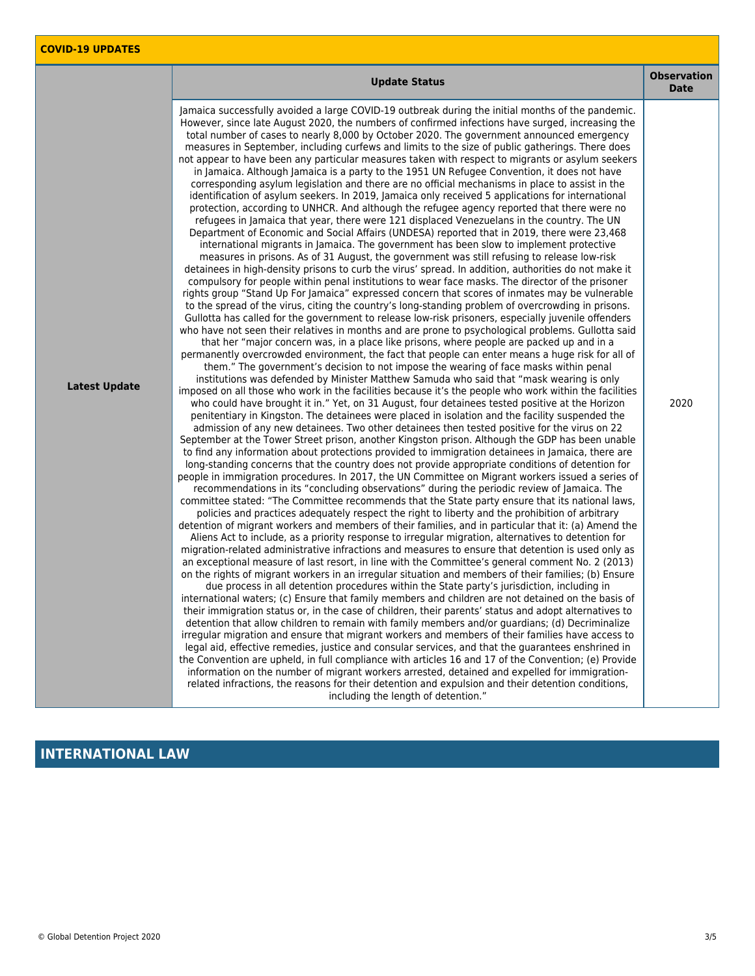|                      | <b>Update Status</b>                                                                                                                                                                                                                                                                                                                                                                                                                                                                                                                                                                                                                                                                                                                                                                                                                                                                                                                                                                                                                                                                                                                                                                                                                                                                                                                                                                                                                                                                                                                                                                                                                                                                                                                                                                                                                                                                                                                                                                                                                                                                                                                                                                                                                                                                                                                                                                                                                                                                                                                                                                                                                                                                                                                                                                                                                                                                                                                                                                                                                                                                                                                                                                                                                                                                                                                                                                                                                                                                                                                                                                                                                                                                                                                                                                                                                                                                                                                                                                                                                                                                                                                                                                                                                                                                                                                                                                                                                                                                                                                                                                                                                                                                                                                                                                                                                                                                                                                                                                   | <b>Observation</b><br><b>Date</b> |
|----------------------|----------------------------------------------------------------------------------------------------------------------------------------------------------------------------------------------------------------------------------------------------------------------------------------------------------------------------------------------------------------------------------------------------------------------------------------------------------------------------------------------------------------------------------------------------------------------------------------------------------------------------------------------------------------------------------------------------------------------------------------------------------------------------------------------------------------------------------------------------------------------------------------------------------------------------------------------------------------------------------------------------------------------------------------------------------------------------------------------------------------------------------------------------------------------------------------------------------------------------------------------------------------------------------------------------------------------------------------------------------------------------------------------------------------------------------------------------------------------------------------------------------------------------------------------------------------------------------------------------------------------------------------------------------------------------------------------------------------------------------------------------------------------------------------------------------------------------------------------------------------------------------------------------------------------------------------------------------------------------------------------------------------------------------------------------------------------------------------------------------------------------------------------------------------------------------------------------------------------------------------------------------------------------------------------------------------------------------------------------------------------------------------------------------------------------------------------------------------------------------------------------------------------------------------------------------------------------------------------------------------------------------------------------------------------------------------------------------------------------------------------------------------------------------------------------------------------------------------------------------------------------------------------------------------------------------------------------------------------------------------------------------------------------------------------------------------------------------------------------------------------------------------------------------------------------------------------------------------------------------------------------------------------------------------------------------------------------------------------------------------------------------------------------------------------------------------------------------------------------------------------------------------------------------------------------------------------------------------------------------------------------------------------------------------------------------------------------------------------------------------------------------------------------------------------------------------------------------------------------------------------------------------------------------------------------------------------------------------------------------------------------------------------------------------------------------------------------------------------------------------------------------------------------------------------------------------------------------------------------------------------------------------------------------------------------------------------------------------------------------------------------------------------------------------------------------------------------------------------------------------------------------------------------------------------------------------------------------------------------------------------------------------------------------------------------------------------------------------------------------------------------------------------------------------------------------------------------------------------------------------------------------------------------------------------------------------------------------------------------------------|-----------------------------------|
| <b>Latest Update</b> | Jamaica successfully avoided a large COVID-19 outbreak during the initial months of the pandemic.<br>However, since late August 2020, the numbers of confirmed infections have surged, increasing the<br>total number of cases to nearly 8,000 by October 2020. The government announced emergency<br>measures in September, including curfews and limits to the size of public gatherings. There does<br>not appear to have been any particular measures taken with respect to migrants or asylum seekers<br>in Jamaica. Although Jamaica is a party to the 1951 UN Refugee Convention, it does not have<br>corresponding asylum legislation and there are no official mechanisms in place to assist in the<br>identification of asylum seekers. In 2019, Jamaica only received 5 applications for international<br>protection, according to UNHCR. And although the refugee agency reported that there were no<br>refugees in Jamaica that year, there were 121 displaced Venezuelans in the country. The UN<br>Department of Economic and Social Affairs (UNDESA) reported that in 2019, there were 23,468<br>international migrants in Jamaica. The government has been slow to implement protective<br>measures in prisons. As of 31 August, the government was still refusing to release low-risk<br>detainees in high-density prisons to curb the virus' spread. In addition, authorities do not make it<br>compulsory for people within penal institutions to wear face masks. The director of the prisoner<br>rights group "Stand Up For Jamaica" expressed concern that scores of inmates may be vulnerable<br>to the spread of the virus, citing the country's long-standing problem of overcrowding in prisons.<br>Gullotta has called for the government to release low-risk prisoners, especially juvenile offenders<br>who have not seen their relatives in months and are prone to psychological problems. Gullotta said<br>that her "major concern was, in a place like prisons, where people are packed up and in a<br>permanently overcrowded environment, the fact that people can enter means a huge risk for all of<br>them." The government's decision to not impose the wearing of face masks within penal<br>institutions was defended by Minister Matthew Samuda who said that "mask wearing is only<br>imposed on all those who work in the facilities because it's the people who work within the facilities<br>who could have brought it in." Yet, on 31 August, four detainees tested positive at the Horizon<br>penitentiary in Kingston. The detainees were placed in isolation and the facility suspended the<br>admission of any new detainees. Two other detainees then tested positive for the virus on 22<br>September at the Tower Street prison, another Kingston prison. Although the GDP has been unable<br>to find any information about protections provided to immigration detainees in Jamaica, there are<br>long-standing concerns that the country does not provide appropriate conditions of detention for<br>people in immigration procedures. In 2017, the UN Committee on Migrant workers issued a series of<br>recommendations in its "concluding observations" during the periodic review of Jamaica. The<br>committee stated: "The Committee recommends that the State party ensure that its national laws,<br>policies and practices adequately respect the right to liberty and the prohibition of arbitrary<br>detention of migrant workers and members of their families, and in particular that it: (a) Amend the<br>Aliens Act to include, as a priority response to irregular migration, alternatives to detention for<br>migration-related administrative infractions and measures to ensure that detention is used only as<br>an exceptional measure of last resort, in line with the Committee's general comment No. 2 (2013)<br>on the rights of migrant workers in an irregular situation and members of their families; (b) Ensure<br>due process in all detention procedures within the State party's jurisdiction, including in<br>international waters; (c) Ensure that family members and children are not detained on the basis of<br>their immigration status or, in the case of children, their parents' status and adopt alternatives to<br>detention that allow children to remain with family members and/or guardians; (d) Decriminalize<br>irregular migration and ensure that migrant workers and members of their families have access to<br>legal aid, effective remedies, justice and consular services, and that the guarantees enshrined in<br>the Convention are upheld, in full compliance with articles 16 and 17 of the Convention; (e) Provide<br>information on the number of migrant workers arrested, detained and expelled for immigration-<br>related infractions, the reasons for their detention and expulsion and their detention conditions,<br>including the length of detention." | 2020                              |

# **INTERNATIONAL LAW**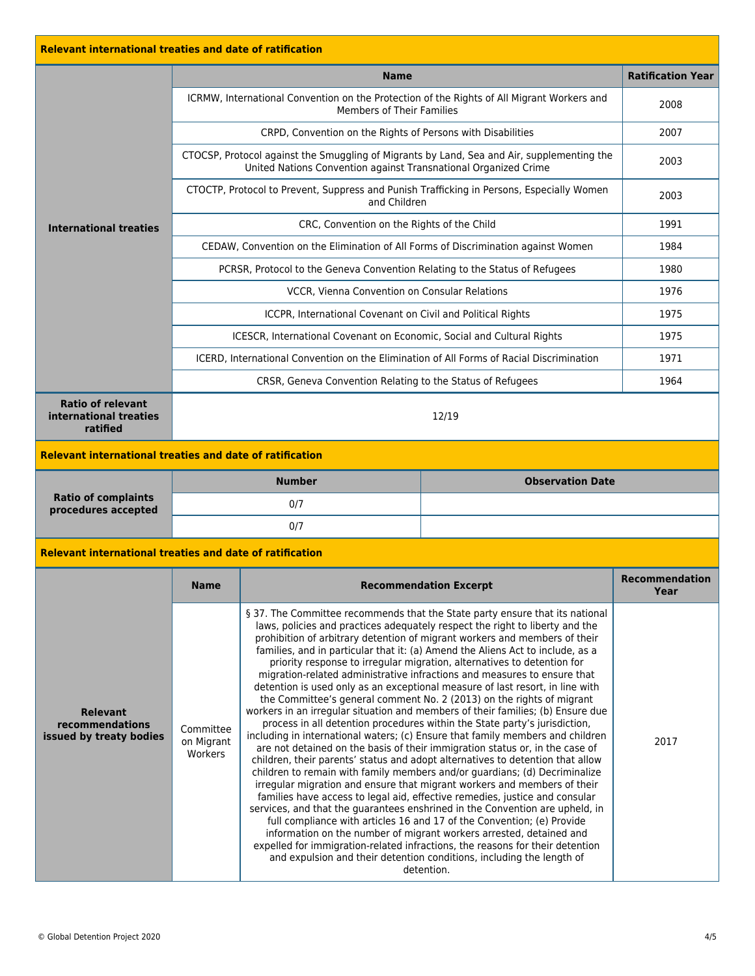| <b>Relevant international treaties and date of ratification</b> |                                                                                                           |                                                                                                                                                                                                                                                                                                                                                                                                                                                                                                                                                                                                                                                                                                                                                                                                                                                                                                                                                                                                                                                                                                                                                                                                                                                                                                                                                                                                                                                                                                                                                                                                                                                                                                                      |                                                                                          |                               |  |
|-----------------------------------------------------------------|-----------------------------------------------------------------------------------------------------------|----------------------------------------------------------------------------------------------------------------------------------------------------------------------------------------------------------------------------------------------------------------------------------------------------------------------------------------------------------------------------------------------------------------------------------------------------------------------------------------------------------------------------------------------------------------------------------------------------------------------------------------------------------------------------------------------------------------------------------------------------------------------------------------------------------------------------------------------------------------------------------------------------------------------------------------------------------------------------------------------------------------------------------------------------------------------------------------------------------------------------------------------------------------------------------------------------------------------------------------------------------------------------------------------------------------------------------------------------------------------------------------------------------------------------------------------------------------------------------------------------------------------------------------------------------------------------------------------------------------------------------------------------------------------------------------------------------------------|------------------------------------------------------------------------------------------|-------------------------------|--|
|                                                                 |                                                                                                           | <b>Name</b>                                                                                                                                                                                                                                                                                                                                                                                                                                                                                                                                                                                                                                                                                                                                                                                                                                                                                                                                                                                                                                                                                                                                                                                                                                                                                                                                                                                                                                                                                                                                                                                                                                                                                                          |                                                                                          | <b>Ratification Year</b>      |  |
|                                                                 | ICRMW, International Convention on the Protection of the Rights of All Migrant Workers and                | 2008                                                                                                                                                                                                                                                                                                                                                                                                                                                                                                                                                                                                                                                                                                                                                                                                                                                                                                                                                                                                                                                                                                                                                                                                                                                                                                                                                                                                                                                                                                                                                                                                                                                                                                                 |                                                                                          |                               |  |
|                                                                 |                                                                                                           | CRPD, Convention on the Rights of Persons with Disabilities                                                                                                                                                                                                                                                                                                                                                                                                                                                                                                                                                                                                                                                                                                                                                                                                                                                                                                                                                                                                                                                                                                                                                                                                                                                                                                                                                                                                                                                                                                                                                                                                                                                          | 2007                                                                                     |                               |  |
|                                                                 |                                                                                                           | CTOCSP, Protocol against the Smuggling of Migrants by Land, Sea and Air, supplementing the<br>United Nations Convention against Transnational Organized Crime                                                                                                                                                                                                                                                                                                                                                                                                                                                                                                                                                                                                                                                                                                                                                                                                                                                                                                                                                                                                                                                                                                                                                                                                                                                                                                                                                                                                                                                                                                                                                        | 2003                                                                                     |                               |  |
|                                                                 | CTOCTP, Protocol to Prevent, Suppress and Punish Trafficking in Persons, Especially Women<br>and Children |                                                                                                                                                                                                                                                                                                                                                                                                                                                                                                                                                                                                                                                                                                                                                                                                                                                                                                                                                                                                                                                                                                                                                                                                                                                                                                                                                                                                                                                                                                                                                                                                                                                                                                                      |                                                                                          | 2003                          |  |
| <b>International treaties</b>                                   | CRC, Convention on the Rights of the Child                                                                |                                                                                                                                                                                                                                                                                                                                                                                                                                                                                                                                                                                                                                                                                                                                                                                                                                                                                                                                                                                                                                                                                                                                                                                                                                                                                                                                                                                                                                                                                                                                                                                                                                                                                                                      |                                                                                          | 1991                          |  |
|                                                                 |                                                                                                           | CEDAW, Convention on the Elimination of All Forms of Discrimination against Women                                                                                                                                                                                                                                                                                                                                                                                                                                                                                                                                                                                                                                                                                                                                                                                                                                                                                                                                                                                                                                                                                                                                                                                                                                                                                                                                                                                                                                                                                                                                                                                                                                    |                                                                                          | 1984                          |  |
|                                                                 |                                                                                                           | PCRSR, Protocol to the Geneva Convention Relating to the Status of Refugees                                                                                                                                                                                                                                                                                                                                                                                                                                                                                                                                                                                                                                                                                                                                                                                                                                                                                                                                                                                                                                                                                                                                                                                                                                                                                                                                                                                                                                                                                                                                                                                                                                          |                                                                                          | 1980                          |  |
|                                                                 |                                                                                                           | VCCR, Vienna Convention on Consular Relations                                                                                                                                                                                                                                                                                                                                                                                                                                                                                                                                                                                                                                                                                                                                                                                                                                                                                                                                                                                                                                                                                                                                                                                                                                                                                                                                                                                                                                                                                                                                                                                                                                                                        |                                                                                          | 1976                          |  |
|                                                                 |                                                                                                           | ICCPR, International Covenant on Civil and Political Rights                                                                                                                                                                                                                                                                                                                                                                                                                                                                                                                                                                                                                                                                                                                                                                                                                                                                                                                                                                                                                                                                                                                                                                                                                                                                                                                                                                                                                                                                                                                                                                                                                                                          |                                                                                          | 1975                          |  |
|                                                                 |                                                                                                           | <b>ICESCR, International Covenant on Economic, Social and Cultural Rights</b>                                                                                                                                                                                                                                                                                                                                                                                                                                                                                                                                                                                                                                                                                                                                                                                                                                                                                                                                                                                                                                                                                                                                                                                                                                                                                                                                                                                                                                                                                                                                                                                                                                        |                                                                                          | 1975                          |  |
|                                                                 |                                                                                                           |                                                                                                                                                                                                                                                                                                                                                                                                                                                                                                                                                                                                                                                                                                                                                                                                                                                                                                                                                                                                                                                                                                                                                                                                                                                                                                                                                                                                                                                                                                                                                                                                                                                                                                                      | ICERD, International Convention on the Elimination of All Forms of Racial Discrimination | 1971                          |  |
|                                                                 |                                                                                                           | CRSR, Geneva Convention Relating to the Status of Refugees                                                                                                                                                                                                                                                                                                                                                                                                                                                                                                                                                                                                                                                                                                                                                                                                                                                                                                                                                                                                                                                                                                                                                                                                                                                                                                                                                                                                                                                                                                                                                                                                                                                           |                                                                                          | 1964                          |  |
| <b>Ratio of relevant</b><br>international treaties<br>ratified  |                                                                                                           |                                                                                                                                                                                                                                                                                                                                                                                                                                                                                                                                                                                                                                                                                                                                                                                                                                                                                                                                                                                                                                                                                                                                                                                                                                                                                                                                                                                                                                                                                                                                                                                                                                                                                                                      | 12/19                                                                                    |                               |  |
| <b>Relevant international treaties and date of ratification</b> |                                                                                                           |                                                                                                                                                                                                                                                                                                                                                                                                                                                                                                                                                                                                                                                                                                                                                                                                                                                                                                                                                                                                                                                                                                                                                                                                                                                                                                                                                                                                                                                                                                                                                                                                                                                                                                                      |                                                                                          |                               |  |
|                                                                 |                                                                                                           | <b>Observation Date</b><br><b>Number</b>                                                                                                                                                                                                                                                                                                                                                                                                                                                                                                                                                                                                                                                                                                                                                                                                                                                                                                                                                                                                                                                                                                                                                                                                                                                                                                                                                                                                                                                                                                                                                                                                                                                                             |                                                                                          |                               |  |
| <b>Ratio of complaints</b><br>procedures accepted               | 0/7                                                                                                       |                                                                                                                                                                                                                                                                                                                                                                                                                                                                                                                                                                                                                                                                                                                                                                                                                                                                                                                                                                                                                                                                                                                                                                                                                                                                                                                                                                                                                                                                                                                                                                                                                                                                                                                      |                                                                                          |                               |  |
|                                                                 |                                                                                                           | 0/7                                                                                                                                                                                                                                                                                                                                                                                                                                                                                                                                                                                                                                                                                                                                                                                                                                                                                                                                                                                                                                                                                                                                                                                                                                                                                                                                                                                                                                                                                                                                                                                                                                                                                                                  |                                                                                          |                               |  |
| <b>Relevant international treaties and date of ratification</b> |                                                                                                           |                                                                                                                                                                                                                                                                                                                                                                                                                                                                                                                                                                                                                                                                                                                                                                                                                                                                                                                                                                                                                                                                                                                                                                                                                                                                                                                                                                                                                                                                                                                                                                                                                                                                                                                      |                                                                                          |                               |  |
|                                                                 | <b>Name</b>                                                                                               | <b>Recommendation Excerpt</b>                                                                                                                                                                                                                                                                                                                                                                                                                                                                                                                                                                                                                                                                                                                                                                                                                                                                                                                                                                                                                                                                                                                                                                                                                                                                                                                                                                                                                                                                                                                                                                                                                                                                                        |                                                                                          | <b>Recommendation</b><br>Year |  |
| <b>Relevant</b><br>recommendations<br>issued by treaty bodies   | Committee<br>on Migrant<br>Workers                                                                        | § 37. The Committee recommends that the State party ensure that its national<br>laws, policies and practices adequately respect the right to liberty and the<br>prohibition of arbitrary detention of migrant workers and members of their<br>families, and in particular that it: (a) Amend the Aliens Act to include, as a<br>priority response to irregular migration, alternatives to detention for<br>migration-related administrative infractions and measures to ensure that<br>detention is used only as an exceptional measure of last resort, in line with<br>the Committee's general comment No. 2 (2013) on the rights of migrant<br>workers in an irregular situation and members of their families; (b) Ensure due<br>process in all detention procedures within the State party's jurisdiction,<br>including in international waters; (c) Ensure that family members and children<br>are not detained on the basis of their immigration status or, in the case of<br>children, their parents' status and adopt alternatives to detention that allow<br>children to remain with family members and/or guardians; (d) Decriminalize<br>irregular migration and ensure that migrant workers and members of their<br>families have access to legal aid, effective remedies, justice and consular<br>services, and that the guarantees enshrined in the Convention are upheld, in<br>full compliance with articles 16 and 17 of the Convention; (e) Provide<br>information on the number of migrant workers arrested, detained and<br>expelled for immigration-related infractions, the reasons for their detention<br>and expulsion and their detention conditions, including the length of<br>detention. |                                                                                          | 2017                          |  |